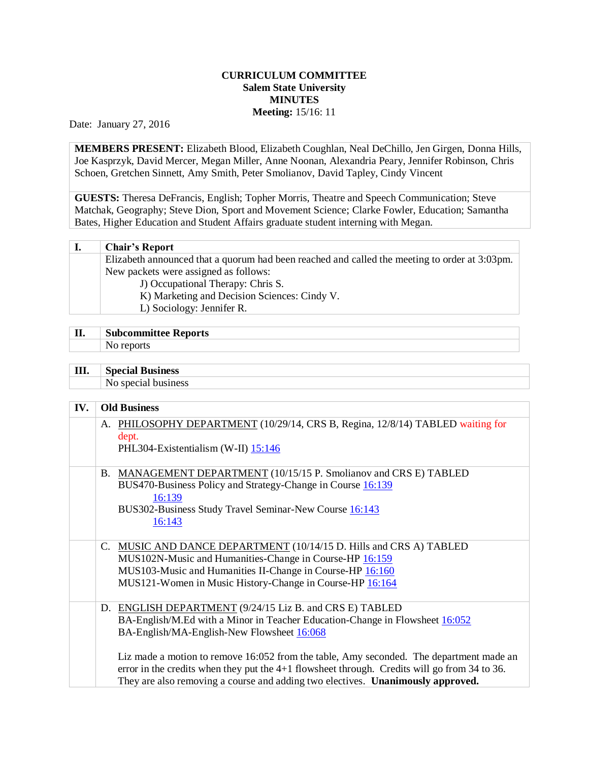## **CURRICULUM COMMITTEE Salem State University MINUTES Meeting:** 15/16: 11

Date: January 27, 2016

**MEMBERS PRESENT:** Elizabeth Blood, Elizabeth Coughlan, Neal DeChillo, Jen Girgen, Donna Hills, Joe Kasprzyk, David Mercer, Megan Miller, Anne Noonan, Alexandria Peary, Jennifer Robinson, Chris Schoen, Gretchen Sinnett, Amy Smith, Peter Smolianov, David Tapley, Cindy Vincent

**GUESTS:** Theresa DeFrancis, English; Topher Morris, Theatre and Speech Communication; Steve Matchak, Geography; Steve Dion, Sport and Movement Science; Clarke Fowler, Education; Samantha Bates, Higher Education and Student Affairs graduate student interning with Megan.

| ı. | <b>Chair's Report</b>                                                                         |
|----|-----------------------------------------------------------------------------------------------|
|    | Elizabeth announced that a quorum had been reached and called the meeting to order at 3:03pm. |
|    | New packets were assigned as follows:                                                         |
|    | J) Occupational Therapy: Chris S.                                                             |
|    | K) Marketing and Decision Sciences: Cindy V.                                                  |
|    | L) Sociology: Jennifer R.                                                                     |

|    | $\sim$        |
|----|---------------|
| п  | teports       |
| л, | neemmittaa wa |
|    |               |

**III. Special Business**

No special business

| IV. | <b>Old Business</b>                                                                                                                                                                                                                                                                                                                                                                                                                                                          |
|-----|------------------------------------------------------------------------------------------------------------------------------------------------------------------------------------------------------------------------------------------------------------------------------------------------------------------------------------------------------------------------------------------------------------------------------------------------------------------------------|
|     | A. PHILOSOPHY DEPARTMENT (10/29/14, CRS B, Regina, 12/8/14) TABLED waiting for<br>dept.<br>PHL304-Existentialism (W-II) 15:146                                                                                                                                                                                                                                                                                                                                               |
|     | MANAGEMENT DEPARTMENT (10/15/15 P. Smolianov and CRS E) TABLED<br>Β.<br>BUS470-Business Policy and Strategy-Change in Course 16:139<br>16:139<br>BUS302-Business Study Travel Seminar-New Course 16:143<br>16:143                                                                                                                                                                                                                                                            |
|     | MUSIC AND DANCE DEPARTMENT (10/14/15 D. Hills and CRS A) TABLED<br>C.<br>MUS102N-Music and Humanities-Change in Course-HP 16:159<br>MUS103-Music and Humanities II-Change in Course-HP 16:160<br>MUS121-Women in Music History-Change in Course-HP 16:164                                                                                                                                                                                                                    |
|     | D. ENGLISH DEPARTMENT (9/24/15 Liz B. and CRS E) TABLED<br>BA-English/M.Ed with a Minor in Teacher Education-Change in Flowsheet 16:052<br>BA-English/MA-English-New Flowsheet 16:068<br>Liz made a motion to remove 16:052 from the table, Amy seconded. The department made an<br>error in the credits when they put the $4+1$ flowsheet through. Credits will go from 34 to 36.<br>They are also removing a course and adding two electives. <b>Unanimously approved.</b> |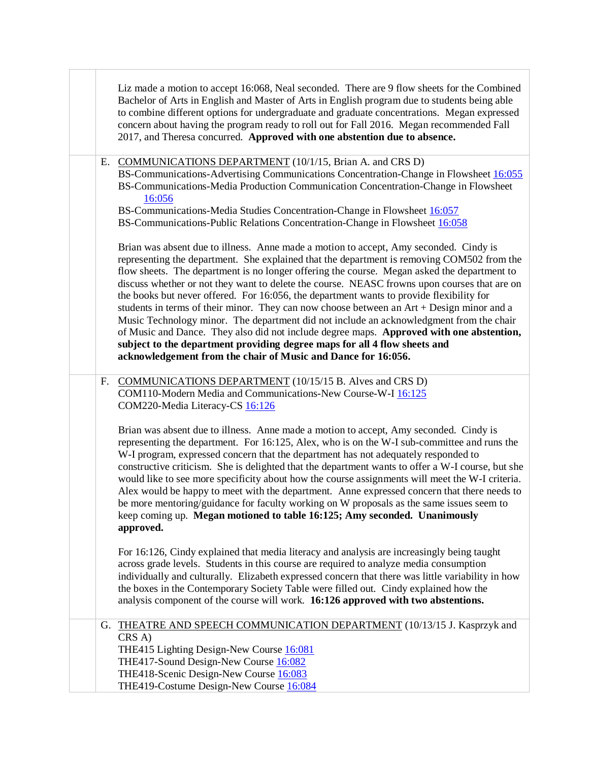| Liz made a motion to accept 16:068, Neal seconded. There are 9 flow sheets for the Combined<br>Bachelor of Arts in English and Master of Arts in English program due to students being able<br>to combine different options for undergraduate and graduate concentrations. Megan expressed<br>concern about having the program ready to roll out for Fall 2016. Megan recommended Fall<br>2017, and Theresa concurred. Approved with one abstention due to absence.                                                                                                                                                                                                                                                                                                                                                                                                                                              |
|------------------------------------------------------------------------------------------------------------------------------------------------------------------------------------------------------------------------------------------------------------------------------------------------------------------------------------------------------------------------------------------------------------------------------------------------------------------------------------------------------------------------------------------------------------------------------------------------------------------------------------------------------------------------------------------------------------------------------------------------------------------------------------------------------------------------------------------------------------------------------------------------------------------|
| COMMUNICATIONS DEPARTMENT (10/1/15, Brian A. and CRS D)<br>Е.<br>BS-Communications-Advertising Communications Concentration-Change in Flowsheet 16:055<br>BS-Communications-Media Production Communication Concentration-Change in Flowsheet<br>16:056<br>BS-Communications-Media Studies Concentration-Change in Flowsheet 16:057<br>BS-Communications-Public Relations Concentration-Change in Flowsheet 16:058                                                                                                                                                                                                                                                                                                                                                                                                                                                                                                |
| Brian was absent due to illness. Anne made a motion to accept, Amy seconded. Cindy is<br>representing the department. She explained that the department is removing COM502 from the<br>flow sheets. The department is no longer offering the course. Megan asked the department to<br>discuss whether or not they want to delete the course. NEASC frowns upon courses that are on<br>the books but never offered. For 16:056, the department wants to provide flexibility for<br>students in terms of their minor. They can now choose between an Art + Design minor and a<br>Music Technology minor. The department did not include an acknowledgment from the chair<br>of Music and Dance. They also did not include degree maps. Approved with one abstention,<br>subject to the department providing degree maps for all 4 flow sheets and<br>acknowledgement from the chair of Music and Dance for 16:056. |
| <b>COMMUNICATIONS DEPARTMENT</b> (10/15/15 B. Alves and CRS D)<br>F.<br>COM110-Modern Media and Communications-New Course-W-I 16:125<br>COM220-Media Literacy-CS 16:126                                                                                                                                                                                                                                                                                                                                                                                                                                                                                                                                                                                                                                                                                                                                          |
| Brian was absent due to illness. Anne made a motion to accept, Amy seconded. Cindy is<br>representing the department. For 16:125, Alex, who is on the W-I sub-committee and runs the<br>W-I program, expressed concern that the department has not adequately responded to<br>constructive criticism. She is delighted that the department wants to offer a W-I course, but she<br>would like to see more specificity about how the course assignments will meet the W-I criteria.<br>Alex would be happy to meet with the department. Anne expressed concern that there needs to<br>be more mentoring/guidance for faculty working on W proposals as the same issues seem to<br>keep coming up. Megan motioned to table 16:125; Amy seconded. Unanimously<br>approved.                                                                                                                                          |
| For 16:126, Cindy explained that media literacy and analysis are increasingly being taught<br>across grade levels. Students in this course are required to analyze media consumption<br>individually and culturally. Elizabeth expressed concern that there was little variability in how<br>the boxes in the Contemporary Society Table were filled out. Cindy explained how the<br>analysis component of the course will work. 16:126 approved with two abstentions.                                                                                                                                                                                                                                                                                                                                                                                                                                           |
| G. THEATRE AND SPEECH COMMUNICATION DEPARTMENT (10/13/15 J. Kasprzyk and<br>$CRS$ A)<br>THE415 Lighting Design-New Course 16:081<br>THE417-Sound Design-New Course 16:082<br>THE418-Scenic Design-New Course 16:083<br>THE419-Costume Design-New Course 16:084                                                                                                                                                                                                                                                                                                                                                                                                                                                                                                                                                                                                                                                   |

٦

 $\Box$ 

T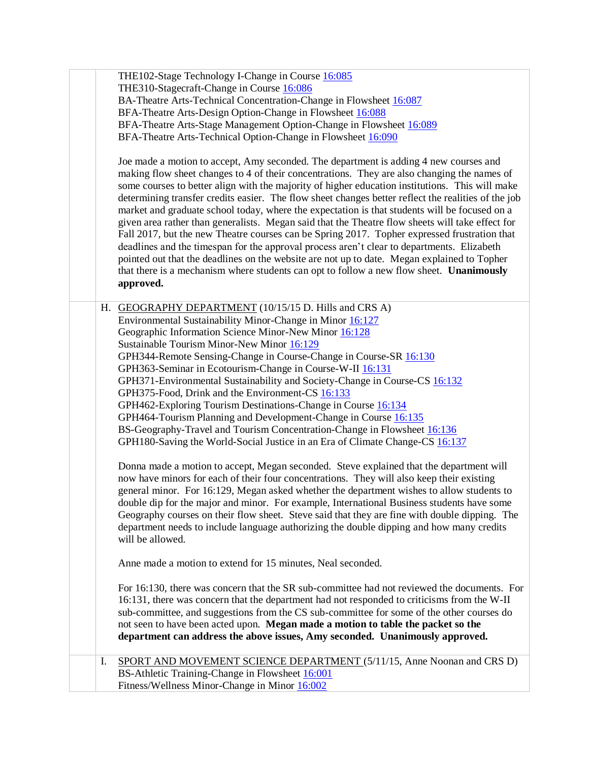|    | THE102-Stage Technology I-Change in Course 16:085<br>THE310-Stagecraft-Change in Course 16:086<br>BA-Theatre Arts-Technical Concentration-Change in Flowsheet 16:087<br>BFA-Theatre Arts-Design Option-Change in Flowsheet 16:088<br>BFA-Theatre Arts-Stage Management Option-Change in Flowsheet 16:089<br>BFA-Theatre Arts-Technical Option-Change in Flowsheet 16:090<br>Joe made a motion to accept, Amy seconded. The department is adding 4 new courses and<br>making flow sheet changes to 4 of their concentrations. They are also changing the names of<br>some courses to better align with the majority of higher education institutions. This will make<br>determining transfer credits easier. The flow sheet changes better reflect the realities of the job<br>market and graduate school today, where the expectation is that students will be focused on a<br>given area rather than generalists. Megan said that the Theatre flow sheets will take effect for<br>Fall 2017, but the new Theatre courses can be Spring 2017. Topher expressed frustration that<br>deadlines and the timespan for the approval process aren't clear to departments. Elizabeth<br>pointed out that the deadlines on the website are not up to date. Megan explained to Topher<br>that there is a mechanism where students can opt to follow a new flow sheet. Unanimously<br>approved.                                                                                                                                                                                                                                                                          |
|----|----------------------------------------------------------------------------------------------------------------------------------------------------------------------------------------------------------------------------------------------------------------------------------------------------------------------------------------------------------------------------------------------------------------------------------------------------------------------------------------------------------------------------------------------------------------------------------------------------------------------------------------------------------------------------------------------------------------------------------------------------------------------------------------------------------------------------------------------------------------------------------------------------------------------------------------------------------------------------------------------------------------------------------------------------------------------------------------------------------------------------------------------------------------------------------------------------------------------------------------------------------------------------------------------------------------------------------------------------------------------------------------------------------------------------------------------------------------------------------------------------------------------------------------------------------------------------------------------------------------------------------------------------------------|
|    | H. GEOGRAPHY DEPARTMENT (10/15/15 D. Hills and CRS A)<br>Environmental Sustainability Minor-Change in Minor 16:127<br>Geographic Information Science Minor-New Minor 16:128<br>Sustainable Tourism Minor-New Minor 16:129<br>GPH344-Remote Sensing-Change in Course-Change in Course-SR 16:130<br>GPH363-Seminar in Ecotourism-Change in Course-W-II 16:131<br>GPH371-Environmental Sustainability and Society-Change in Course-CS 16:132<br>GPH375-Food, Drink and the Environment-CS 16:133<br>GPH462-Exploring Tourism Destinations-Change in Course 16:134<br>GPH464-Tourism Planning and Development-Change in Course 16:135<br>BS-Geography-Travel and Tourism Concentration-Change in Flowsheet 16:136<br>GPH180-Saving the World-Social Justice in an Era of Climate Change-CS 16:137<br>Donna made a motion to accept, Megan seconded. Steve explained that the department will<br>now have minors for each of their four concentrations. They will also keep their existing<br>general minor. For 16:129, Megan asked whether the department wishes to allow students to<br>double dip for the major and minor. For example, International Business students have some<br>Geography courses on their flow sheet. Steve said that they are fine with double dipping. The<br>department needs to include language authorizing the double dipping and how many credits<br>will be allowed.<br>Anne made a motion to extend for 15 minutes, Neal seconded.<br>For 16:130, there was concern that the SR sub-committee had not reviewed the documents. For<br>16:131, there was concern that the department had not responded to criticisms from the W-II |
|    | sub-committee, and suggestions from the CS sub-committee for some of the other courses do<br>not seen to have been acted upon. Megan made a motion to table the packet so the<br>department can address the above issues, Amy seconded. Unanimously approved.                                                                                                                                                                                                                                                                                                                                                                                                                                                                                                                                                                                                                                                                                                                                                                                                                                                                                                                                                                                                                                                                                                                                                                                                                                                                                                                                                                                                  |
| I. | SPORT AND MOVEMENT SCIENCE DEPARTMENT (5/11/15, Anne Noonan and CRS D)<br>BS-Athletic Training-Change in Flowsheet 16:001<br>Fitness/Wellness Minor-Change in Minor 16:002                                                                                                                                                                                                                                                                                                                                                                                                                                                                                                                                                                                                                                                                                                                                                                                                                                                                                                                                                                                                                                                                                                                                                                                                                                                                                                                                                                                                                                                                                     |